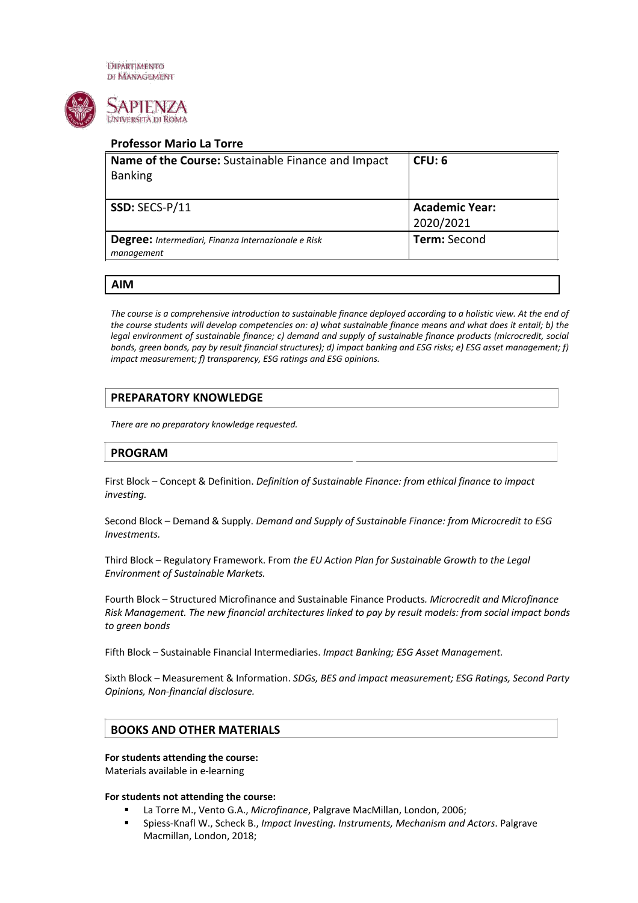**DIPARTIMENTO** DI MANAGEMENT



# **Professor Mario La Torre**

| Name of the Course: Sustainable Finance and Impact  | CFU: 6                |
|-----------------------------------------------------|-----------------------|
| <b>Banking</b>                                      |                       |
|                                                     |                       |
| SSD: SECS-P/11                                      | <b>Academic Year:</b> |
|                                                     | 2020/2021             |
| Degree: Intermediari, Finanza Internazionale e Risk | <b>Term:</b> Second   |
| management                                          |                       |
|                                                     |                       |

## **AIM**

*The course is a comprehensive introduction to sustainable finance deployed according to a holistic view. At the end of the course students will develop competencies on: a) what sustainable finance means and what does it entail; b) the legal environment of sustainable finance; c) demand and supply of sustainable finance products (microcredit, social bonds, green bonds, pay by result financial structures); d) impact banking and ESG risks; e) ESG asset management; f) impact measurement; f) transparency, ESG ratings and ESG opinions.*

# **PREPARATORY KNOWLEDGE**

*There are no preparatory knowledge requested.*

# **PROGRAM**

First Block – Concept & Definition. *Definition of Sustainable Finance: from ethical finance to impact investing.* 

Second Block – Demand & Supply. *Demand and Supply of Sustainable Finance: from Microcredit to ESG Investments.* 

Third Block – Regulatory Framework. From *the EU Action Plan for Sustainable Growth to the Legal Environment of Sustainable Markets.* 

Fourth Block – Structured Microfinance and Sustainable Finance Products*. Microcredit and Microfinance Risk Management. The new financial architectures linked to pay by result models: from social impact bonds to green bonds*

Fifth Block – Sustainable Financial Intermediaries. *Impact Banking; ESG Asset Management.*

Sixth Block – Measurement & Information. *SDGs, BES and impact measurement; ESG Ratings, Second Party Opinions, Non-financial disclosure.* 

# **BOOKS AND OTHER MATERIALS**

### **For students attending the course:**

Materials available in e-learning

### **For students not attending the course:**

- § La Torre M., Vento G.A., *Microfinance*, Palgrave MacMillan, London, 2006;
- § Spiess-Knafl W., Scheck B., *Impact Investing. Instruments, Mechanism and Actors*. Palgrave Macmillan, London, 2018;